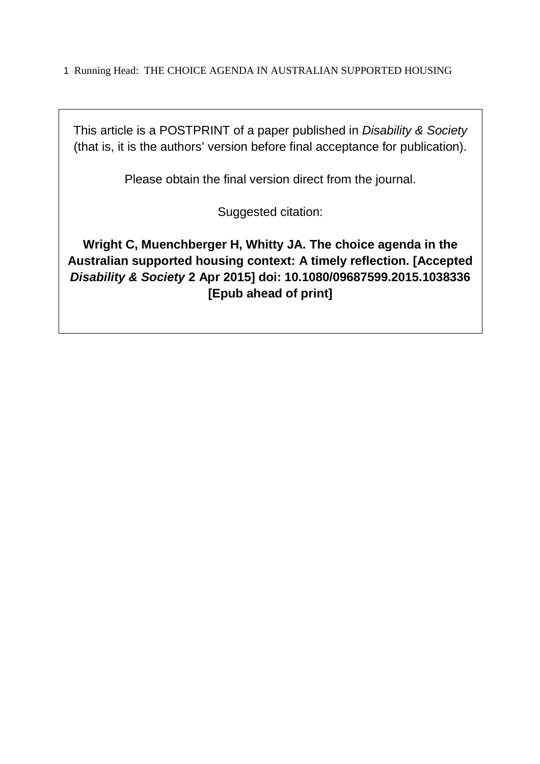This article is a POSTPRINT of a paper published in Disability & Society (that is, it is the authors' version before final acceptance for publication).

Please obtain the final version direct from the journal.

Suggested citation:

**Wright C, Muenchberger H, Whitty JA. The choice agenda in the Australian supported housing context: A timely reflection. [Accepted Disability & Society 2 Apr 2015] doi: 10.1080/09687599.2015.1038336 [Epub ahead of print]**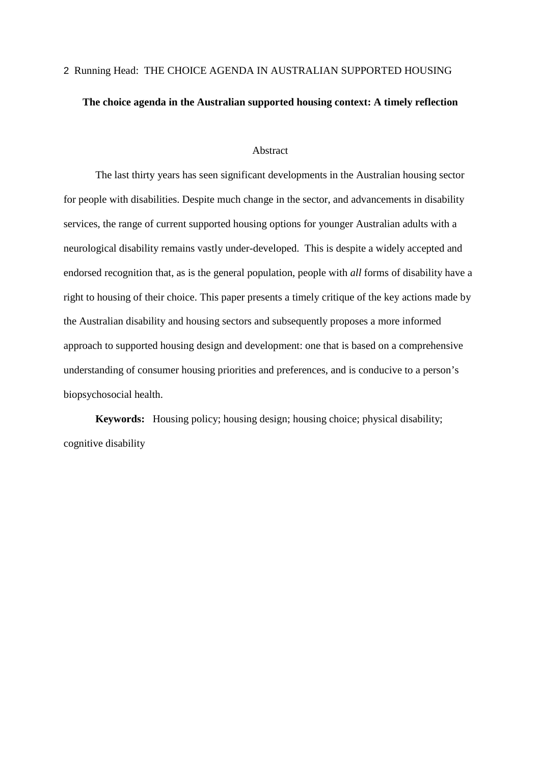# 2 Running Head: THE CHOICE AGENDA IN AUSTRALIAN SUPPORTED HOUSING **The choice agenda in the Australian supported housing context: A timely reflection**

#### Abstract

The last thirty years has seen significant developments in the Australian housing sector for people with disabilities. Despite much change in the sector, and advancements in disability services, the range of current supported housing options for younger Australian adults with a neurological disability remains vastly under-developed. This is despite a widely accepted and endorsed recognition that, as is the general population, people with *all* forms of disability have a right to housing of their choice. This paper presents a timely critique of the key actions made by the Australian disability and housing sectors and subsequently proposes a more informed approach to supported housing design and development: one that is based on a comprehensive understanding of consumer housing priorities and preferences, and is conducive to a person's biopsychosocial health.

**Keywords:** Housing policy; housing design; housing choice; physical disability; cognitive disability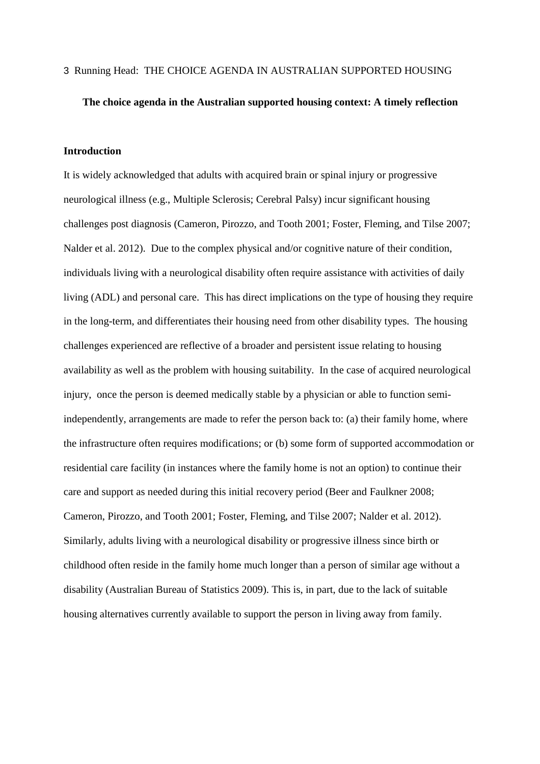#### **The choice agenda in the Australian supported housing context: A timely reflection**

#### **Introduction**

It is widely acknowledged that adults with acquired brain or spinal injury or progressive neurological illness (e.g., Multiple Sclerosis; Cerebral Palsy) incur significant housing challenges post diagnosis (Cameron, Pirozzo, and Tooth 2001; Foster, Fleming, and Tilse 2007; Nalder et al. 2012). Due to the complex physical and/or cognitive nature of their condition, individuals living with a neurological disability often require assistance with activities of daily living (ADL) and personal care. This has direct implications on the type of housing they require in the long-term, and differentiates their housing need from other disability types. The housing challenges experienced are reflective of a broader and persistent issue relating to housing availability as well as the problem with housing suitability. In the case of acquired neurological injury, once the person is deemed medically stable by a physician or able to function semiindependently, arrangements are made to refer the person back to: (a) their family home, where the infrastructure often requires modifications; or (b) some form of supported accommodation or residential care facility (in instances where the family home is not an option) to continue their care and support as needed during this initial recovery period (Beer and Faulkner 2008; Cameron, Pirozzo, and Tooth 2001; Foster, Fleming, and Tilse 2007; Nalder et al. 2012). Similarly, adults living with a neurological disability or progressive illness since birth or childhood often reside in the family home much longer than a person of similar age without a disability (Australian Bureau of Statistics 2009). This is, in part, due to the lack of suitable housing alternatives currently available to support the person in living away from family.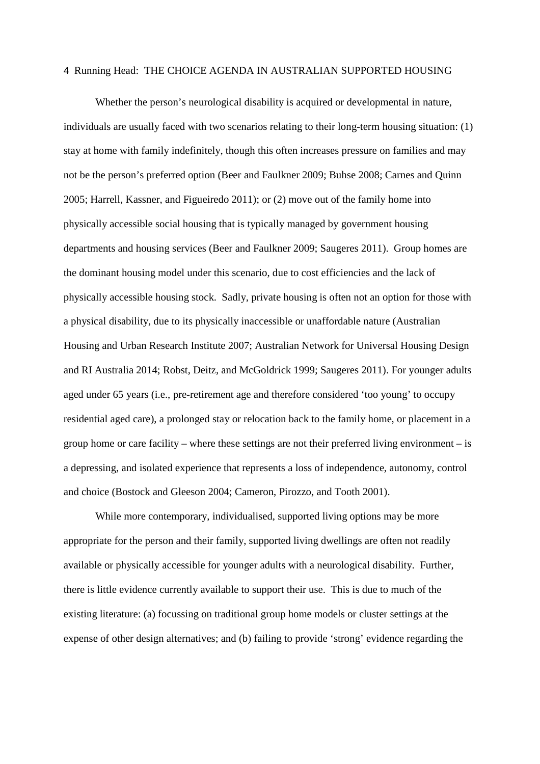Whether the person's neurological disability is acquired or developmental in nature, individuals are usually faced with two scenarios relating to their long-term housing situation: (1) stay at home with family indefinitely, though this often increases pressure on families and may not be the person's preferred option (Beer and Faulkner 2009; Buhse 2008; Carnes and Quinn 2005; Harrell, Kassner, and Figueiredo 2011); or (2) move out of the family home into physically accessible social housing that is typically managed by government housing departments and housing services (Beer and Faulkner 2009; Saugeres 2011). Group homes are the dominant housing model under this scenario, due to cost efficiencies and the lack of physically accessible housing stock. Sadly, private housing is often not an option for those with a physical disability, due to its physically inaccessible or unaffordable nature (Australian Housing and Urban Research Institute 2007; Australian Network for Universal Housing Design and RI Australia 2014; Robst, Deitz, and McGoldrick 1999; Saugeres 2011). For younger adults aged under 65 years (i.e., pre-retirement age and therefore considered 'too young' to occupy residential aged care), a prolonged stay or relocation back to the family home, or placement in a group home or care facility – where these settings are not their preferred living environment – is a depressing, and isolated experience that represents a loss of independence, autonomy, control and choice (Bostock and Gleeson 2004; Cameron, Pirozzo, and Tooth 2001).

While more contemporary, individualised, supported living options may be more appropriate for the person and their family, supported living dwellings are often not readily available or physically accessible for younger adults with a neurological disability. Further, there is little evidence currently available to support their use. This is due to much of the existing literature: (a) focussing on traditional group home models or cluster settings at the expense of other design alternatives; and (b) failing to provide 'strong' evidence regarding the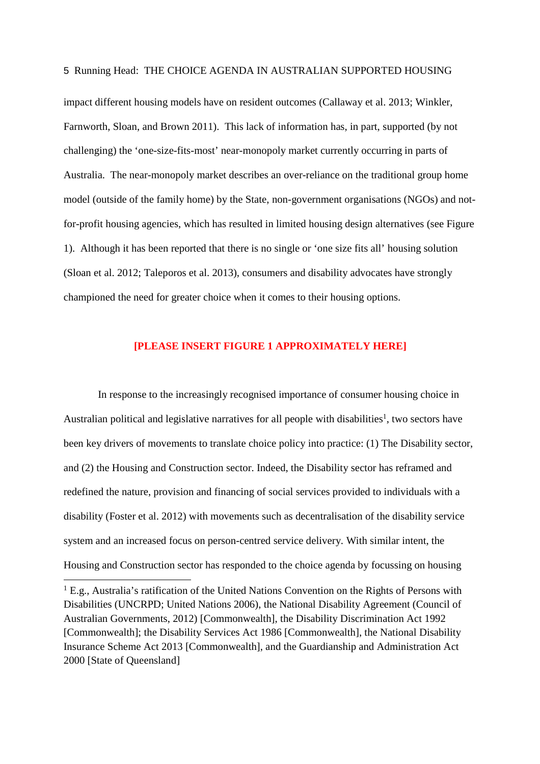impact different housing models have on resident outcomes (Callaway et al. 2013; Winkler, Farnworth, Sloan, and Brown 2011). This lack of information has, in part, supported (by not challenging) the 'one-size-fits-most' near-monopoly market currently occurring in parts of Australia. The near-monopoly market describes an over-reliance on the traditional group home model (outside of the family home) by the State, non-government organisations (NGOs) and notfor-profit housing agencies, which has resulted in limited housing design alternatives (see Figure 1). Although it has been reported that there is no single or 'one size fits all' housing solution (Sloan et al. 2012; Taleporos et al. 2013), consumers and disability advocates have strongly championed the need for greater choice when it comes to their housing options.

#### **[PLEASE INSERT FIGURE 1 APPROXIMATELY HERE]**

 In response to the increasingly recognised importance of consumer housing choice in Australian political and legislative narratives for all people with disabilities<sup>1</sup>, two sectors have been key drivers of movements to translate choice policy into practice: (1) The Disability sector, and (2) the Housing and Construction sector. Indeed, the Disability sector has reframed and redefined the nature, provision and financing of social services provided to individuals with a disability (Foster et al. 2012) with movements such as decentralisation of the disability service system and an increased focus on person-centred service delivery. With similar intent, the Housing and Construction sector has responded to the choice agenda by focussing on housing

1

<sup>&</sup>lt;sup>1</sup> E.g., Australia's ratification of the United Nations Convention on the Rights of Persons with Disabilities (UNCRPD; United Nations 2006), the National Disability Agreement (Council of Australian Governments, 2012) [Commonwealth], the Disability Discrimination Act 1992 [Commonwealth]; the Disability Services Act 1986 [Commonwealth], the National Disability Insurance Scheme Act 2013 [Commonwealth], and the Guardianship and Administration Act 2000 [State of Queensland]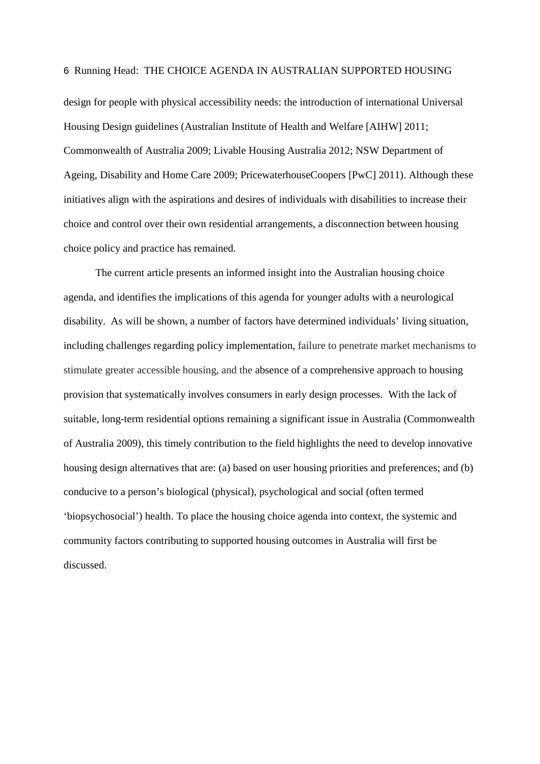design for people with physical accessibility needs: the introduction of international Universal Housing Design guidelines (Australian Institute of Health and Welfare [AIHW] 2011; Commonwealth of Australia 2009; Livable Housing Australia 2012; NSW Department of Ageing, Disability and Home Care 2009; PricewaterhouseCoopers [PwC] 2011). Although these initiatives align with the aspirations and desires of individuals with disabilities to increase their choice and control over their own residential arrangements, a disconnection between housing choice policy and practice has remained.

The current article presents an informed insight into the Australian housing choice agenda, and identifies the implications of this agenda for younger adults with a neurological disability. As will be shown, a number of factors have determined individuals' living situation, including challenges regarding policy implementation, failure to penetrate market mechanisms to stimulate greater accessible housing, and the absence of a comprehensive approach to housing provision that systematically involves consumers in early design processes. With the lack of suitable, long-term residential options remaining a significant issue in Australia (Commonwealth of Australia 2009), this timely contribution to the field highlights the need to develop innovative housing design alternatives that are: (a) based on user housing priorities and preferences; and (b) conducive to a person's biological (physical), psychological and social (often termed 'biopsychosocial') health. To place the housing choice agenda into context, the systemic and community factors contributing to supported housing outcomes in Australia will first be discussed.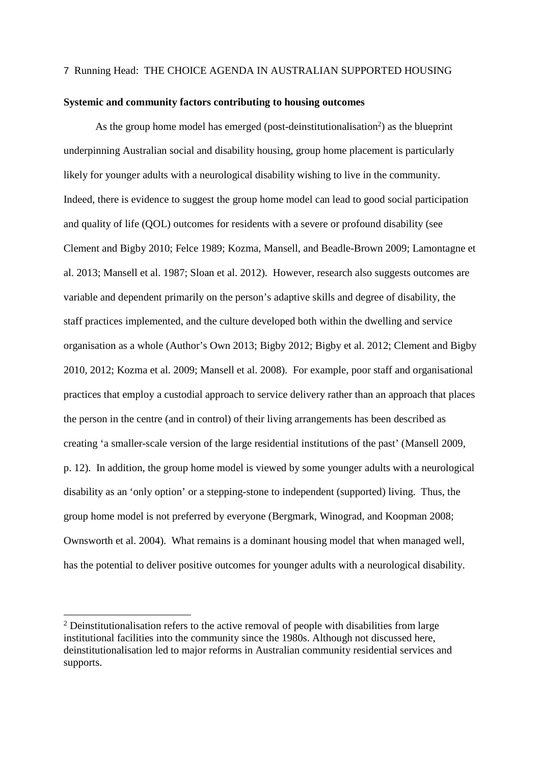#### **Systemic and community factors contributing to housing outcomes**

As the group home model has emerged (post-deinstitutionalisation<sup>2</sup>) as the blueprint underpinning Australian social and disability housing, group home placement is particularly likely for younger adults with a neurological disability wishing to live in the community. Indeed, there is evidence to suggest the group home model can lead to good social participation and quality of life (QOL) outcomes for residents with a severe or profound disability (see Clement and Bigby 2010; Felce 1989; Kozma, Mansell, and Beadle-Brown 2009; Lamontagne et al. 2013; Mansell et al. 1987; Sloan et al. 2012). However, research also suggests outcomes are variable and dependent primarily on the person's adaptive skills and degree of disability, the staff practices implemented, and the culture developed both within the dwelling and service organisation as a whole (Author's Own 2013; Bigby 2012; Bigby et al. 2012; Clement and Bigby 2010, 2012; Kozma et al. 2009; Mansell et al. 2008). For example, poor staff and organisational practices that employ a custodial approach to service delivery rather than an approach that places the person in the centre (and in control) of their living arrangements has been described as creating 'a smaller-scale version of the large residential institutions of the past' (Mansell 2009, p. 12). In addition, the group home model is viewed by some younger adults with a neurological disability as an 'only option' or a stepping-stone to independent (supported) living. Thus, the group home model is not preferred by everyone (Bergmark, Winograd, and Koopman 2008; Ownsworth et al. 2004). What remains is a dominant housing model that when managed well, has the potential to deliver positive outcomes for younger adults with a neurological disability.

1

 $2$  Deinstitutionalisation refers to the active removal of people with disabilities from large institutional facilities into the community since the 1980s. Although not discussed here, deinstitutionalisation led to major reforms in Australian community residential services and supports.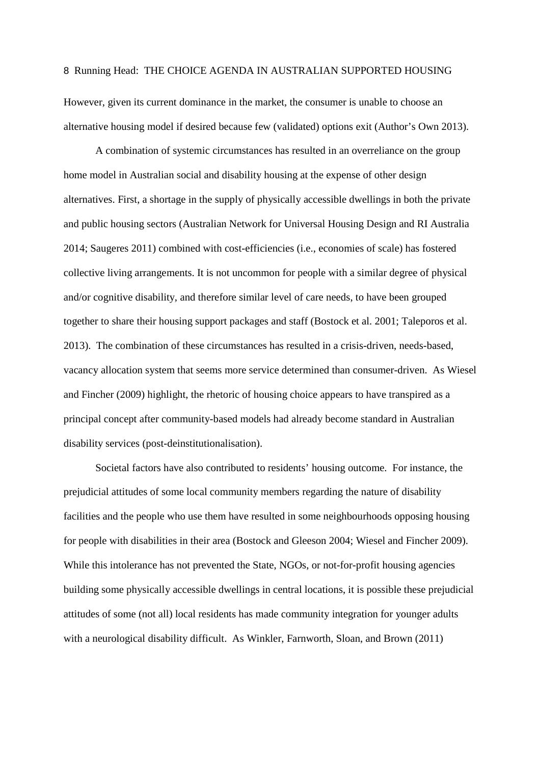However, given its current dominance in the market, the consumer is unable to choose an alternative housing model if desired because few (validated) options exit (Author's Own 2013).

A combination of systemic circumstances has resulted in an overreliance on the group home model in Australian social and disability housing at the expense of other design alternatives. First, a shortage in the supply of physically accessible dwellings in both the private and public housing sectors (Australian Network for Universal Housing Design and RI Australia 2014; Saugeres 2011) combined with cost-efficiencies (i.e., economies of scale) has fostered collective living arrangements. It is not uncommon for people with a similar degree of physical and/or cognitive disability, and therefore similar level of care needs, to have been grouped together to share their housing support packages and staff (Bostock et al. 2001; Taleporos et al. 2013). The combination of these circumstances has resulted in a crisis-driven, needs-based, vacancy allocation system that seems more service determined than consumer-driven. As Wiesel and Fincher (2009) highlight, the rhetoric of housing choice appears to have transpired as a principal concept after community-based models had already become standard in Australian disability services (post-deinstitutionalisation).

Societal factors have also contributed to residents' housing outcome. For instance, the prejudicial attitudes of some local community members regarding the nature of disability facilities and the people who use them have resulted in some neighbourhoods opposing housing for people with disabilities in their area (Bostock and Gleeson 2004; Wiesel and Fincher 2009). While this intolerance has not prevented the State, NGOs, or not-for-profit housing agencies building some physically accessible dwellings in central locations, it is possible these prejudicial attitudes of some (not all) local residents has made community integration for younger adults with a neurological disability difficult. As Winkler, Farnworth, Sloan, and Brown (2011)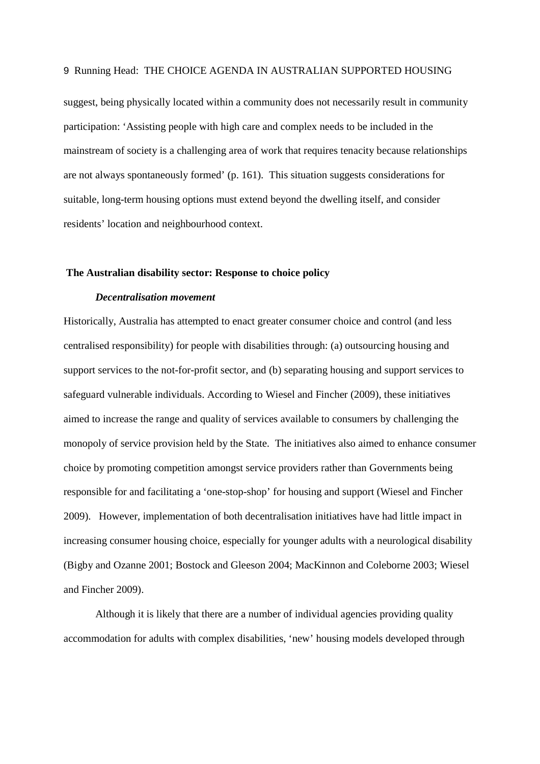suggest, being physically located within a community does not necessarily result in community participation: 'Assisting people with high care and complex needs to be included in the mainstream of society is a challenging area of work that requires tenacity because relationships are not always spontaneously formed' (p. 161). This situation suggests considerations for suitable, long-term housing options must extend beyond the dwelling itself, and consider residents' location and neighbourhood context.

#### **The Australian disability sector: Response to choice policy**

#### *Decentralisation movement*

Historically, Australia has attempted to enact greater consumer choice and control (and less centralised responsibility) for people with disabilities through: (a) outsourcing housing and support services to the not-for-profit sector, and (b) separating housing and support services to safeguard vulnerable individuals. According to Wiesel and Fincher (2009), these initiatives aimed to increase the range and quality of services available to consumers by challenging the monopoly of service provision held by the State. The initiatives also aimed to enhance consumer choice by promoting competition amongst service providers rather than Governments being responsible for and facilitating a 'one-stop-shop' for housing and support (Wiesel and Fincher 2009). However, implementation of both decentralisation initiatives have had little impact in increasing consumer housing choice, especially for younger adults with a neurological disability (Bigby and Ozanne 2001; Bostock and Gleeson 2004; MacKinnon and Coleborne 2003; Wiesel and Fincher 2009).

Although it is likely that there are a number of individual agencies providing quality accommodation for adults with complex disabilities, 'new' housing models developed through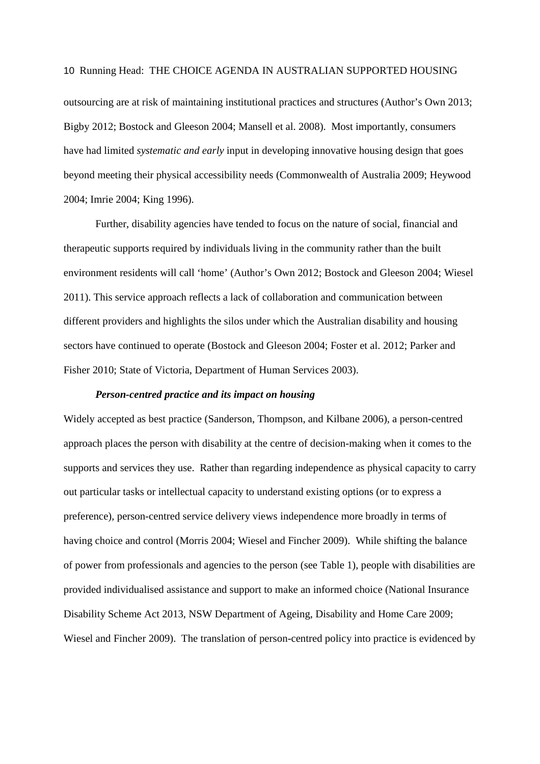outsourcing are at risk of maintaining institutional practices and structures (Author's Own 2013; Bigby 2012; Bostock and Gleeson 2004; Mansell et al. 2008). Most importantly, consumers have had limited *systematic and early* input in developing innovative housing design that goes beyond meeting their physical accessibility needs (Commonwealth of Australia 2009; Heywood 2004; Imrie 2004; King 1996).

Further, disability agencies have tended to focus on the nature of social, financial and therapeutic supports required by individuals living in the community rather than the built environment residents will call 'home' (Author's Own 2012; Bostock and Gleeson 2004; Wiesel 2011). This service approach reflects a lack of collaboration and communication between different providers and highlights the silos under which the Australian disability and housing sectors have continued to operate (Bostock and Gleeson 2004; Foster et al. 2012; Parker and Fisher 2010; State of Victoria, Department of Human Services 2003).

#### *Person-centred practice and its impact on housing*

Widely accepted as best practice (Sanderson, Thompson, and Kilbane 2006), a person-centred approach places the person with disability at the centre of decision-making when it comes to the supports and services they use. Rather than regarding independence as physical capacity to carry out particular tasks or intellectual capacity to understand existing options (or to express a preference), person-centred service delivery views independence more broadly in terms of having choice and control (Morris 2004; Wiesel and Fincher 2009). While shifting the balance of power from professionals and agencies to the person (see Table 1), people with disabilities are provided individualised assistance and support to make an informed choice (National Insurance Disability Scheme Act 2013, NSW Department of Ageing, Disability and Home Care 2009; Wiesel and Fincher 2009). The translation of person-centred policy into practice is evidenced by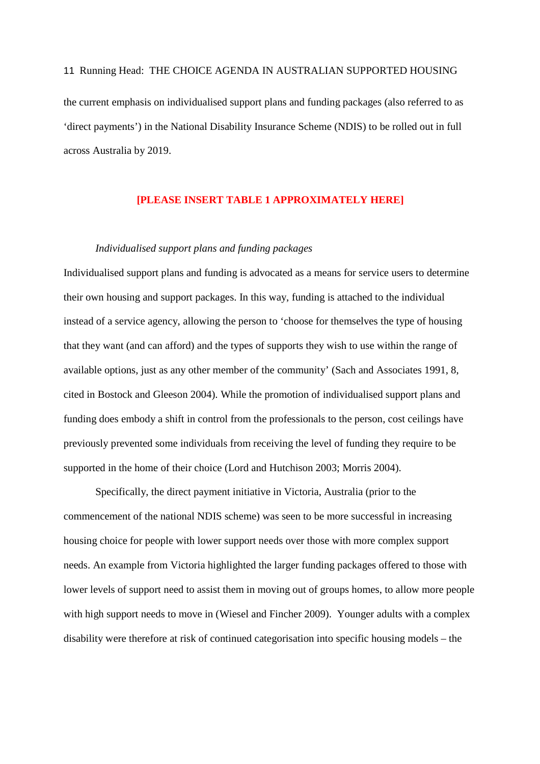11 Running Head: THE CHOICE AGENDA IN AUSTRALIAN SUPPORTED HOUSING the current emphasis on individualised support plans and funding packages (also referred to as 'direct payments') in the National Disability Insurance Scheme (NDIS) to be rolled out in full across Australia by 2019.

#### **[PLEASE INSERT TABLE 1 APPROXIMATELY HERE]**

#### *Individualised support plans and funding packages*

Individualised support plans and funding is advocated as a means for service users to determine their own housing and support packages. In this way, funding is attached to the individual instead of a service agency, allowing the person to 'choose for themselves the type of housing that they want (and can afford) and the types of supports they wish to use within the range of available options, just as any other member of the community' (Sach and Associates 1991, 8, cited in Bostock and Gleeson 2004). While the promotion of individualised support plans and funding does embody a shift in control from the professionals to the person, cost ceilings have previously prevented some individuals from receiving the level of funding they require to be supported in the home of their choice (Lord and Hutchison 2003; Morris 2004).

Specifically, the direct payment initiative in Victoria, Australia (prior to the commencement of the national NDIS scheme) was seen to be more successful in increasing housing choice for people with lower support needs over those with more complex support needs. An example from Victoria highlighted the larger funding packages offered to those with lower levels of support need to assist them in moving out of groups homes, to allow more people with high support needs to move in (Wiesel and Fincher 2009). Younger adults with a complex disability were therefore at risk of continued categorisation into specific housing models – the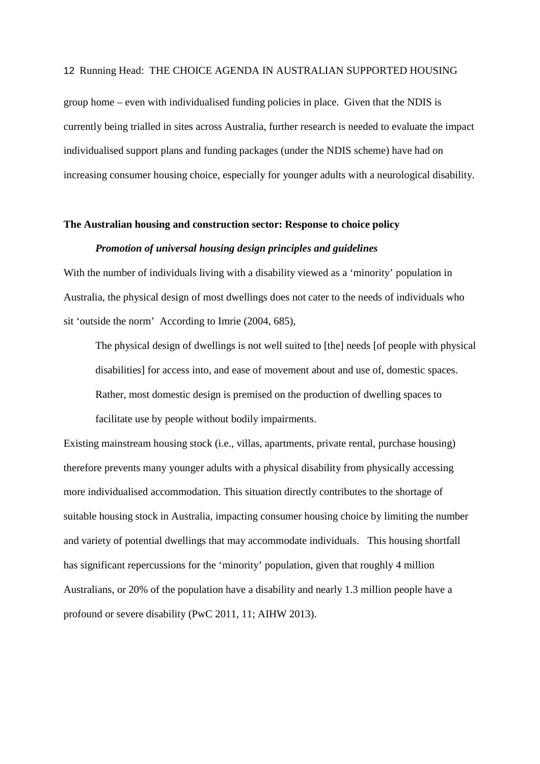group home – even with individualised funding policies in place. Given that the NDIS is currently being trialled in sites across Australia, further research is needed to evaluate the impact individualised support plans and funding packages (under the NDIS scheme) have had on increasing consumer housing choice, especially for younger adults with a neurological disability.

#### **The Australian housing and construction sector: Response to choice policy**

#### *Promotion of universal housing design principles and guidelines*

With the number of individuals living with a disability viewed as a 'minority' population in Australia, the physical design of most dwellings does not cater to the needs of individuals who sit 'outside the norm' According to Imrie (2004, 685),

The physical design of dwellings is not well suited to [the] needs [of people with physical disabilities] for access into, and ease of movement about and use of, domestic spaces. Rather, most domestic design is premised on the production of dwelling spaces to facilitate use by people without bodily impairments.

Existing mainstream housing stock (i.e., villas, apartments, private rental, purchase housing) therefore prevents many younger adults with a physical disability from physically accessing more individualised accommodation. This situation directly contributes to the shortage of suitable housing stock in Australia, impacting consumer housing choice by limiting the number and variety of potential dwellings that may accommodate individuals. This housing shortfall has significant repercussions for the 'minority' population, given that roughly 4 million Australians, or 20% of the population have a disability and nearly 1.3 million people have a profound or severe disability (PwC 2011, 11; AIHW 2013).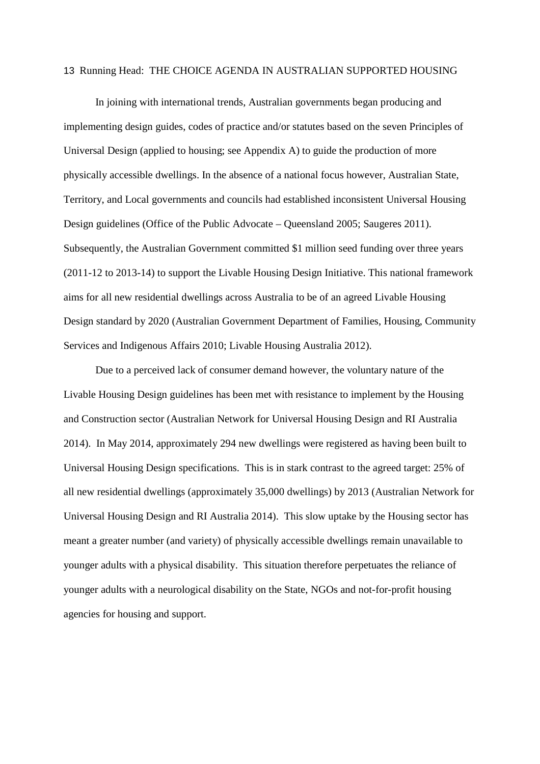In joining with international trends, Australian governments began producing and implementing design guides, codes of practice and/or statutes based on the seven Principles of Universal Design (applied to housing; see Appendix A) to guide the production of more physically accessible dwellings. In the absence of a national focus however, Australian State, Territory, and Local governments and councils had established inconsistent Universal Housing Design guidelines (Office of the Public Advocate – Queensland 2005; Saugeres 2011). Subsequently, the Australian Government committed \$1 million seed funding over three years (2011-12 to 2013-14) to support the Livable Housing Design Initiative. This national framework aims for all new residential dwellings across Australia to be of an agreed Livable Housing Design standard by 2020 (Australian Government Department of Families, Housing, Community Services and Indigenous Affairs 2010; Livable Housing Australia 2012).

Due to a perceived lack of consumer demand however, the voluntary nature of the Livable Housing Design guidelines has been met with resistance to implement by the Housing and Construction sector (Australian Network for Universal Housing Design and RI Australia 2014). In May 2014, approximately 294 new dwellings were registered as having been built to Universal Housing Design specifications. This is in stark contrast to the agreed target: 25% of all new residential dwellings (approximately 35,000 dwellings) by 2013 (Australian Network for Universal Housing Design and RI Australia 2014). This slow uptake by the Housing sector has meant a greater number (and variety) of physically accessible dwellings remain unavailable to younger adults with a physical disability. This situation therefore perpetuates the reliance of younger adults with a neurological disability on the State, NGOs and not-for-profit housing agencies for housing and support.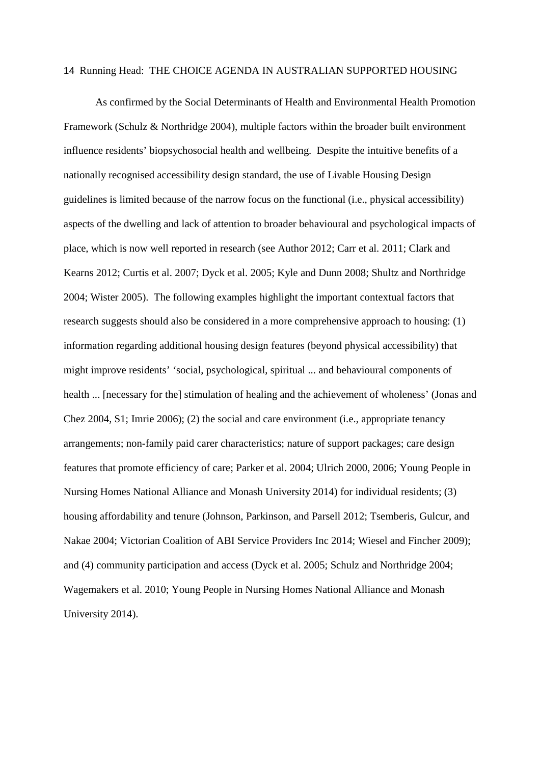As confirmed by the Social Determinants of Health and Environmental Health Promotion Framework (Schulz & Northridge 2004), multiple factors within the broader built environment influence residents' biopsychosocial health and wellbeing. Despite the intuitive benefits of a nationally recognised accessibility design standard, the use of Livable Housing Design guidelines is limited because of the narrow focus on the functional (i.e., physical accessibility) aspects of the dwelling and lack of attention to broader behavioural and psychological impacts of place, which is now well reported in research (see Author 2012; Carr et al. 2011; Clark and Kearns 2012; Curtis et al. 2007; Dyck et al. 2005; Kyle and Dunn 2008; Shultz and Northridge 2004; Wister 2005). The following examples highlight the important contextual factors that research suggests should also be considered in a more comprehensive approach to housing: (1) information regarding additional housing design features (beyond physical accessibility) that might improve residents' 'social, psychological, spiritual ... and behavioural components of health ... [necessary for the] stimulation of healing and the achievement of wholeness' (Jonas and Chez 2004, S1; Imrie 2006); (2) the social and care environment (i.e., appropriate tenancy arrangements; non-family paid carer characteristics; nature of support packages; care design features that promote efficiency of care; Parker et al. 2004; Ulrich 2000, 2006; Young People in Nursing Homes National Alliance and Monash University 2014) for individual residents; (3) housing affordability and tenure (Johnson, Parkinson, and Parsell 2012; Tsemberis, Gulcur, and Nakae 2004; Victorian Coalition of ABI Service Providers Inc 2014; Wiesel and Fincher 2009); and (4) community participation and access (Dyck et al. 2005; Schulz and Northridge 2004; Wagemakers et al. 2010; Young People in Nursing Homes National Alliance and Monash University 2014).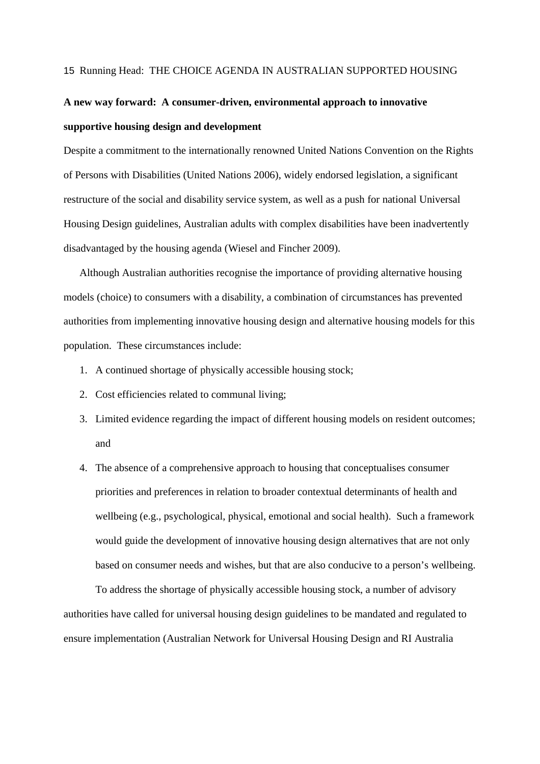## **A new way forward: A consumer-driven, environmental approach to innovative supportive housing design and development**

Despite a commitment to the internationally renowned United Nations Convention on the Rights of Persons with Disabilities (United Nations 2006), widely endorsed legislation, a significant restructure of the social and disability service system, as well as a push for national Universal Housing Design guidelines, Australian adults with complex disabilities have been inadvertently disadvantaged by the housing agenda (Wiesel and Fincher 2009).

Although Australian authorities recognise the importance of providing alternative housing models (choice) to consumers with a disability, a combination of circumstances has prevented authorities from implementing innovative housing design and alternative housing models for this population. These circumstances include:

- 1. A continued shortage of physically accessible housing stock;
- 2. Cost efficiencies related to communal living;
- 3. Limited evidence regarding the impact of different housing models on resident outcomes; and
- 4. The absence of a comprehensive approach to housing that conceptualises consumer priorities and preferences in relation to broader contextual determinants of health and wellbeing (e.g., psychological, physical, emotional and social health). Such a framework would guide the development of innovative housing design alternatives that are not only based on consumer needs and wishes, but that are also conducive to a person's wellbeing.

To address the shortage of physically accessible housing stock, a number of advisory authorities have called for universal housing design guidelines to be mandated and regulated to ensure implementation (Australian Network for Universal Housing Design and RI Australia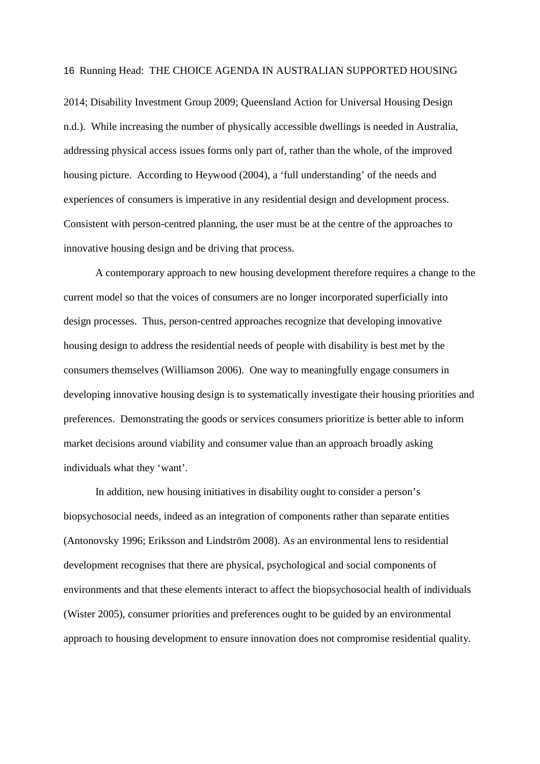2014; Disability Investment Group 2009; Queensland Action for Universal Housing Design n.d.). While increasing the number of physically accessible dwellings is needed in Australia, addressing physical access issues forms only part of, rather than the whole, of the improved housing picture. According to Heywood (2004), a 'full understanding' of the needs and experiences of consumers is imperative in any residential design and development process. Consistent with person-centred planning, the user must be at the centre of the approaches to innovative housing design and be driving that process.

A contemporary approach to new housing development therefore requires a change to the current model so that the voices of consumers are no longer incorporated superficially into design processes. Thus, person-centred approaches recognize that developing innovative housing design to address the residential needs of people with disability is best met by the consumers themselves (Williamson 2006). One way to meaningfully engage consumers in developing innovative housing design is to systematically investigate their housing priorities and preferences. Demonstrating the goods or services consumers prioritize is better able to inform market decisions around viability and consumer value than an approach broadly asking individuals what they 'want'.

In addition, new housing initiatives in disability ought to consider a person's biopsychosocial needs, indeed as an integration of components rather than separate entities (Antonovsky 1996; Eriksson and Lindström 2008). As an environmental lens to residential development recognises that there are physical, psychological and social components of environments and that these elements interact to affect the biopsychosocial health of individuals (Wister 2005), consumer priorities and preferences ought to be guided by an environmental approach to housing development to ensure innovation does not compromise residential quality.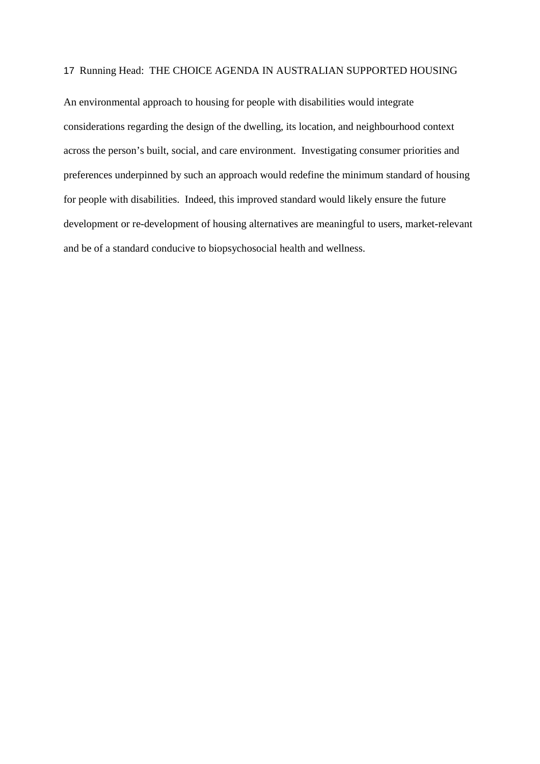An environmental approach to housing for people with disabilities would integrate considerations regarding the design of the dwelling, its location, and neighbourhood context across the person's built, social, and care environment. Investigating consumer priorities and preferences underpinned by such an approach would redefine the minimum standard of housing for people with disabilities. Indeed, this improved standard would likely ensure the future development or re-development of housing alternatives are meaningful to users, market-relevant and be of a standard conducive to biopsychosocial health and wellness.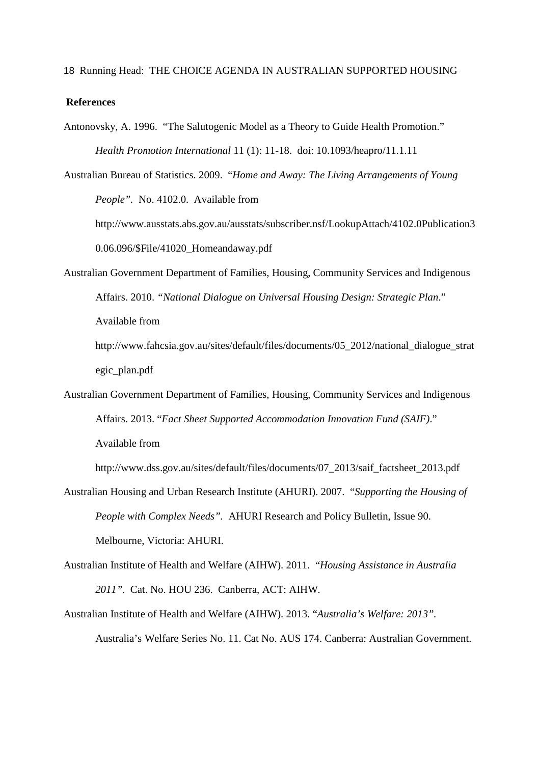#### **References**

Antonovsky, A. 1996. "The Salutogenic Model as a Theory to Guide Health Promotion." *Health Promotion International* 11 (1): 11-18. doi: 10.1093/heapro/11.1.11

Australian Bureau of Statistics. 2009. "*Home and Away: The Living Arrangements of Young People".* No. 4102.0. Available from

http://www.ausstats.abs.gov.au/ausstats/subscriber.nsf/LookupAttach/4102.0Publication3 0.06.096/\$File/41020\_Homeandaway.pdf

Australian Government Department of Families, Housing, Community Services and Indigenous Affairs. 2010. *"National Dialogue on Universal Housing Design: Strategic Plan*." Available from

http://www.fahcsia.gov.au/sites/default/files/documents/05\_2012/national\_dialogue\_strat egic\_plan.pdf

Australian Government Department of Families, Housing, Community Services and Indigenous Affairs. 2013. "*Fact Sheet Supported Accommodation Innovation Fund (SAIF)*."

Available from

http://www.dss.gov.au/sites/default/files/documents/07\_2013/saif\_factsheet\_2013.pdf

- Australian Housing and Urban Research Institute (AHURI). 2007. "*Supporting the Housing of People with Complex Needs".* AHURI Research and Policy Bulletin, Issue 90. Melbourne, Victoria: AHURI.
- Australian Institute of Health and Welfare (AIHW). 2011. "*Housing Assistance in Australia 2011".* Cat. No. HOU 236. Canberra, ACT: AIHW.
- Australian Institute of Health and Welfare (AIHW). 2013. "*Australia's Welfare: 2013".* Australia's Welfare Series No. 11. Cat No. AUS 174. Canberra: Australian Government.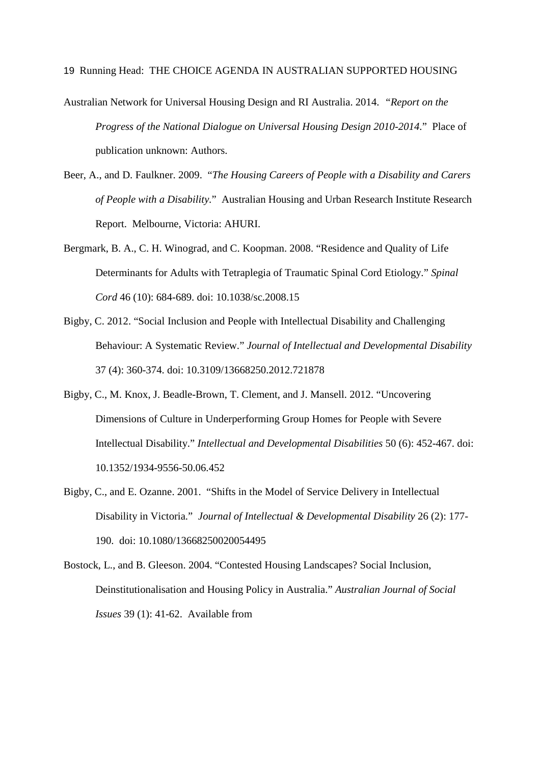- Australian Network for Universal Housing Design and RI Australia. 2014. *"Report on the Progress of the National Dialogue on Universal Housing Design 2010-2014*." Place of publication unknown: Authors.
- Beer, A., and D. Faulkner. 2009. "*The Housing Careers of People with a Disability and Carers of People with a Disability*." Australian Housing and Urban Research Institute Research Report. Melbourne, Victoria: AHURI.
- Bergmark, B. A., C. H. Winograd, and C. Koopman. 2008. "Residence and Quality of Life Determinants for Adults with Tetraplegia of Traumatic Spinal Cord Etiology." *Spinal Cord* 46 (10): 684-689. doi: 10.1038/sc.2008.15
- Bigby, C. 2012. "Social Inclusion and People with Intellectual Disability and Challenging Behaviour: A Systematic Review." *Journal of Intellectual and Developmental Disability*  37 (4): 360-374. doi: 10.3109/13668250.2012.721878
- Bigby, C., M. Knox, J. Beadle-Brown, T. Clement, and J. Mansell. 2012. "Uncovering Dimensions of Culture in Underperforming Group Homes for People with Severe Intellectual Disability." *Intellectual and Developmental Disabilities* 50 (6): 452-467. doi: 10.1352/1934-9556-50.06.452
- Bigby, C., and E. Ozanne. 2001. "Shifts in the Model of Service Delivery in Intellectual Disability in Victoria." *Journal of Intellectual & Developmental Disability* 26 (2): 177- 190. doi: 10.1080/13668250020054495
- Bostock, L., and B. Gleeson. 2004. "Contested Housing Landscapes? Social Inclusion, Deinstitutionalisation and Housing Policy in Australia." *Australian Journal of Social Issues* 39 (1): 41-62. Available from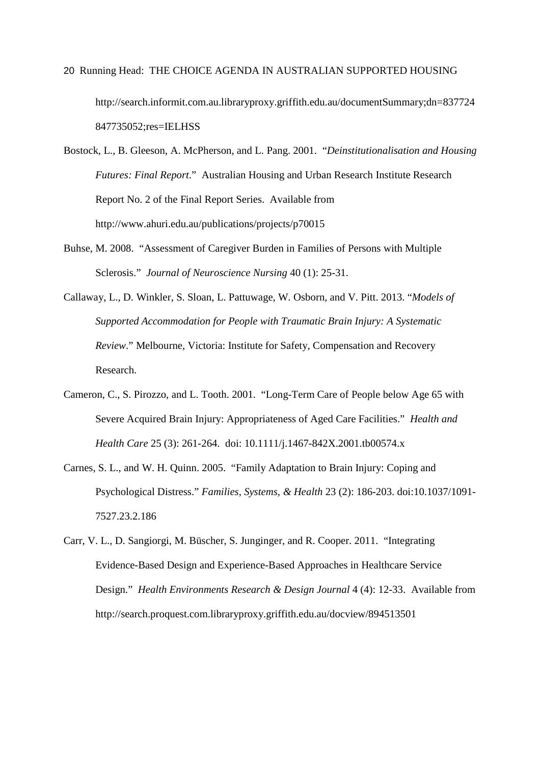20 Running Head: THE CHOICE AGENDA IN AUSTRALIAN SUPPORTED HOUSING http://search.informit.com.au.libraryproxy.griffith.edu.au/documentSummary;dn=837724 847735052;res=IELHSS

Bostock, L., B. Gleeson, A. McPherson, and L. Pang. 2001. "*Deinstitutionalisation and Housing Futures: Final Report*." Australian Housing and Urban Research Institute Research Report No. 2 of the Final Report Series. Available from http://www.ahuri.edu.au/publications/projects/p70015

- Buhse, M. 2008. "Assessment of Caregiver Burden in Families of Persons with Multiple Sclerosis." *Journal of Neuroscience Nursing* 40 (1): 25-31.
- Callaway, L., D. Winkler, S. Sloan, L. Pattuwage, W. Osborn, and V. Pitt. 2013. "*Models of Supported Accommodation for People with Traumatic Brain Injury: A Systematic Review*." Melbourne, Victoria: Institute for Safety, Compensation and Recovery Research.
- Cameron, C., S. Pirozzo, and L. Tooth. 2001. "Long-Term Care of People below Age 65 with Severe Acquired Brain Injury: Appropriateness of Aged Care Facilities." *Health and Health Care* 25 (3): 261-264. doi: 10.1111/j.1467-842X.2001.tb00574.x
- Carnes, S. L., and W. H. Quinn. 2005. "Family Adaptation to Brain Injury: Coping and Psychological Distress." *Families, Systems, & Health* 23 (2): 186-203. doi:10.1037/1091- 7527.23.2.186
- Carr, V. L., D. Sangiorgi, M. Büscher, S. Junginger, and R. Cooper. 2011. "Integrating Evidence-Based Design and Experience-Based Approaches in Healthcare Service Design." *Health Environments Research & Design Journal* 4 (4): 12-33. Available from http://search.proquest.com.libraryproxy.griffith.edu.au/docview/894513501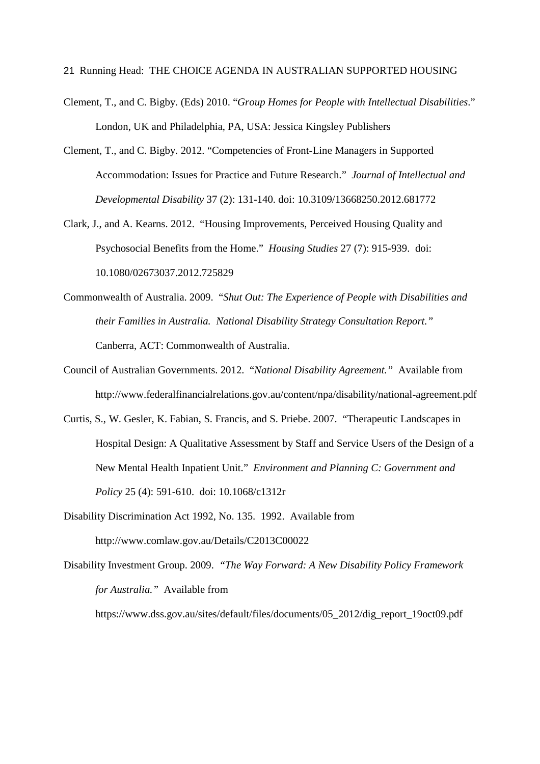- 21 Running Head: THE CHOICE AGENDA IN AUSTRALIAN SUPPORTED HOUSING
- Clement, T., and C. Bigby. (Eds) 2010. "*Group Homes for People with Intellectual Disabilities*." London, UK and Philadelphia, PA, USA: Jessica Kingsley Publishers
- Clement, T., and C. Bigby. 2012. "Competencies of Front-Line Managers in Supported Accommodation: Issues for Practice and Future Research." *Journal of Intellectual and Developmental Disability* 37 (2): 131-140. doi: 10.3109/13668250.2012.681772
- Clark, J., and A. Kearns. 2012. "Housing Improvements, Perceived Housing Quality and Psychosocial Benefits from the Home." *Housing Studies* 27 (7): 915-939. doi: 10.1080/02673037.2012.725829
- Commonwealth of Australia. 2009. "*Shut Out: The Experience of People with Disabilities and their Families in Australia. National Disability Strategy Consultation Report."* Canberra, ACT: Commonwealth of Australia.
- Council of Australian Governments. 2012. "*National Disability Agreement."* Available from http://www.federalfinancialrelations.gov.au/content/npa/disability/national-agreement.pdf
- Curtis, S., W. Gesler, K. Fabian, S. Francis, and S. Priebe. 2007. "Therapeutic Landscapes in Hospital Design: A Qualitative Assessment by Staff and Service Users of the Design of a New Mental Health Inpatient Unit." *Environment and Planning C: Government and Policy* 25 (4): 591-610. doi: 10.1068/c1312r
- Disability Discrimination Act 1992, No. 135. 1992. Available from http://www.comlaw.gov.au/Details/C2013C00022
- Disability Investment Group. 2009. *"The Way Forward: A New Disability Policy Framework for Australia."* Available from

https://www.dss.gov.au/sites/default/files/documents/05\_2012/dig\_report\_19oct09.pdf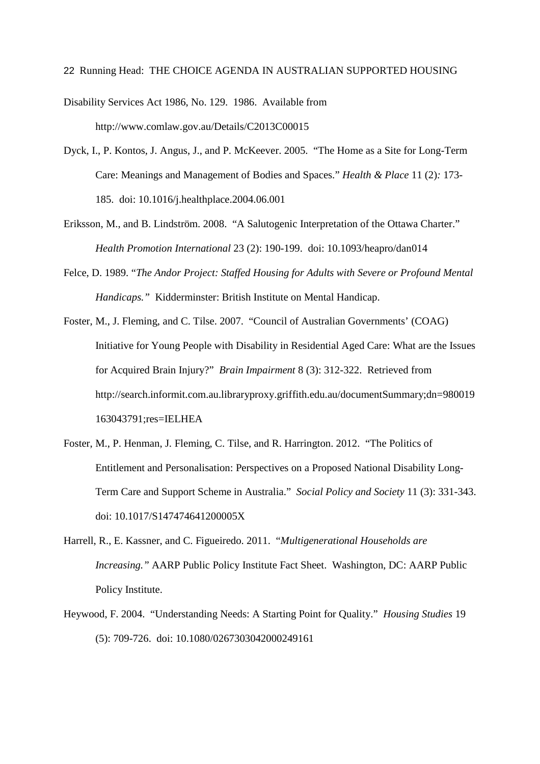Disability Services Act 1986, No. 129. 1986. Available from http://www.comlaw.gov.au/Details/C2013C00015

- Dyck, I., P. Kontos, J. Angus, J., and P. McKeever. 2005. "The Home as a Site for Long-Term Care: Meanings and Management of Bodies and Spaces." *Health & Place* 11 (2)*:* 173- 185. doi: 10.1016/j.healthplace.2004.06.001
- Eriksson, M., and B. Lindström. 2008. "A Salutogenic Interpretation of the Ottawa Charter." *Health Promotion International* 23 (2): 190-199. doi: 10.1093/heapro/dan014
- Felce, D. 1989. "*The Andor Project: Staffed Housing for Adults with Severe or Profound Mental Handicaps."* Kidderminster: British Institute on Mental Handicap.
- Foster, M., J. Fleming, and C. Tilse. 2007. "Council of Australian Governments' (COAG) Initiative for Young People with Disability in Residential Aged Care: What are the Issues for Acquired Brain Injury?" *Brain Impairment* 8 (3): 312-322. Retrieved from http://search.informit.com.au.libraryproxy.griffith.edu.au/documentSummary;dn=980019 163043791;res=IELHEA
- Foster, M., P. Henman, J. Fleming, C. Tilse, and R. Harrington. 2012. "The Politics of Entitlement and Personalisation: Perspectives on a Proposed National Disability Long-Term Care and Support Scheme in Australia." *Social Policy and Society* 11 (3): 331-343. doi: 10.1017/S147474641200005X
- Harrell, R., E. Kassner, and C. Figueiredo. 2011. "*Multigenerational Households are Increasing."* AARP Public Policy Institute Fact Sheet. Washington, DC: AARP Public Policy Institute.
- Heywood, F. 2004. "Understanding Needs: A Starting Point for Quality." *Housing Studies* 19 (5): 709-726. doi: 10.1080/0267303042000249161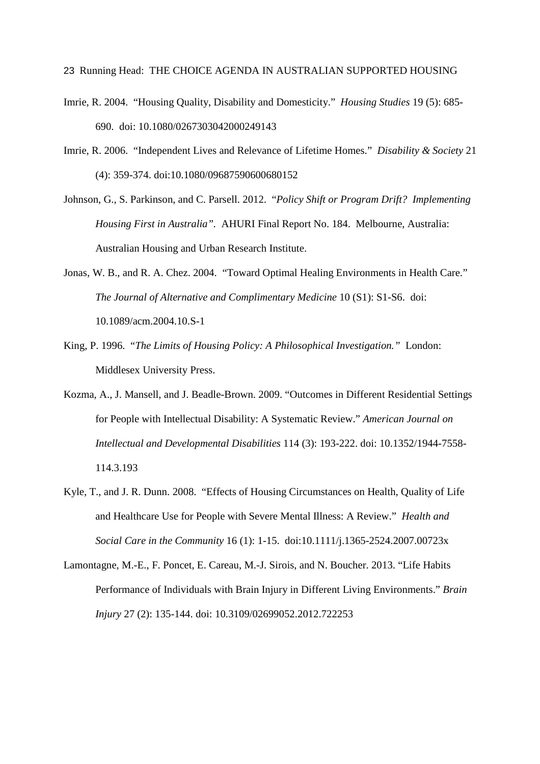- Imrie, R. 2004. "Housing Quality, Disability and Domesticity." *Housing Studies* 19 (5): 685- 690. doi: 10.1080/0267303042000249143
- Imrie, R. 2006. "Independent Lives and Relevance of Lifetime Homes." *Disability & Society* 21 (4): 359-374. doi:10.1080/09687590600680152
- Johnson, G., S. Parkinson, and C. Parsell. 2012. "*Policy Shift or Program Drift? Implementing Housing First in Australia".* AHURI Final Report No. 184. Melbourne, Australia: Australian Housing and Urban Research Institute.
- Jonas, W. B., and R. A. Chez. 2004. "Toward Optimal Healing Environments in Health Care." *The Journal of Alternative and Complimentary Medicine* 10 (S1): S1-S6. doi: 10.1089/acm.2004.10.S-1
- King, P. 1996. "*The Limits of Housing Policy: A Philosophical Investigation."* London: Middlesex University Press.
- Kozma, A., J. Mansell, and J. Beadle-Brown. 2009. "Outcomes in Different Residential Settings for People with Intellectual Disability: A Systematic Review." *American Journal on Intellectual and Developmental Disabilities* 114 (3): 193-222. doi: 10.1352/1944-7558- 114.3.193
- Kyle, T., and J. R. Dunn. 2008. "Effects of Housing Circumstances on Health, Quality of Life and Healthcare Use for People with Severe Mental Illness: A Review." *Health and Social Care in the Community* 16 (1): 1-15. doi:10.1111/j.1365-2524.2007.00723x
- Lamontagne, M.-E., F. Poncet, E. Careau, M.-J. Sirois, and N. Boucher. 2013. "Life Habits Performance of Individuals with Brain Injury in Different Living Environments." *Brain Injury* 27 (2): 135-144. doi: 10.3109/02699052.2012.722253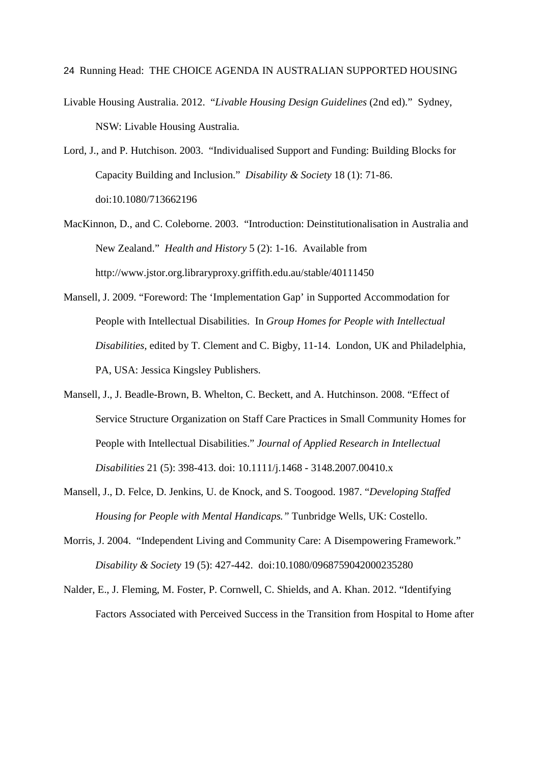- Livable Housing Australia. 2012. "*Livable Housing Design Guidelines* (2nd ed)." Sydney, NSW: Livable Housing Australia.
- Lord, J., and P. Hutchison. 2003. "Individualised Support and Funding: Building Blocks for Capacity Building and Inclusion." *Disability & Society* 18 (1): 71-86. doi:10.1080/713662196
- MacKinnon, D., and C. Coleborne. 2003. "Introduction: Deinstitutionalisation in Australia and New Zealand." *Health and History* 5 (2): 1-16. Available from http://www.jstor.org.libraryproxy.griffith.edu.au/stable/40111450
- Mansell, J. 2009. "Foreword: The 'Implementation Gap' in Supported Accommodation for People with Intellectual Disabilities. In *Group Homes for People with Intellectual Disabilities,* edited by T. Clement and C. Bigby, 11-14. London, UK and Philadelphia, PA, USA: Jessica Kingsley Publishers.
- Mansell, J., J. Beadle-Brown, B. Whelton, C. Beckett, and A. Hutchinson. 2008. "Effect of Service Structure Organization on Staff Care Practices in Small Community Homes for People with Intellectual Disabilities." *Journal of Applied Research in Intellectual Disabilities* 21 (5): 398-413. doi: 10.1111/j.1468 - 3148.2007.00410.x
- Mansell, J., D. Felce, D. Jenkins, U. de Knock, and S. Toogood. 1987. "*Developing Staffed Housing for People with Mental Handicaps."* Tunbridge Wells, UK: Costello.
- Morris, J. 2004. "Independent Living and Community Care: A Disempowering Framework." *Disability & Society* 19 (5): 427-442. doi:10.1080/0968759042000235280
- Nalder, E., J. Fleming, M. Foster, P. Cornwell, C. Shields, and A. Khan. 2012. "Identifying Factors Associated with Perceived Success in the Transition from Hospital to Home after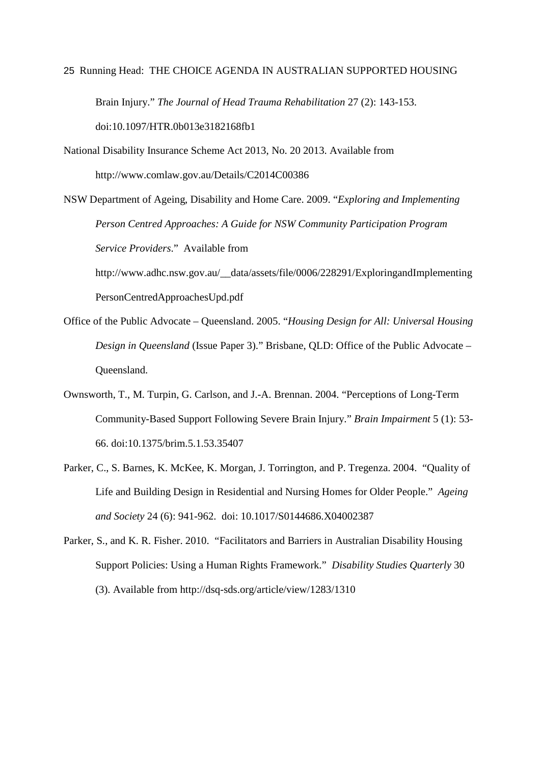25 Running Head: THE CHOICE AGENDA IN AUSTRALIAN SUPPORTED HOUSING Brain Injury." *The Journal of Head Trauma Rehabilitation* 27 (2): 143-153.

doi:10.1097/HTR.0b013e3182168fb1

- National Disability Insurance Scheme Act 2013, No. 20 2013. Available from http://www.comlaw.gov.au/Details/C2014C00386
- NSW Department of Ageing, Disability and Home Care. 2009. "*Exploring and Implementing Person Centred Approaches: A Guide for NSW Community Participation Program Service Providers*." Available from

http://www.adhc.nsw.gov.au/\_\_data/assets/file/0006/228291/ExploringandImplementing PersonCentredApproachesUpd.pdf

- Office of the Public Advocate Queensland. 2005. "*Housing Design for All: Universal Housing Design in Queensland* (Issue Paper 3)." Brisbane, QLD: Office of the Public Advocate – Queensland.
- Ownsworth, T., M. Turpin, G. Carlson, and J.-A. Brennan. 2004. "Perceptions of Long-Term Community-Based Support Following Severe Brain Injury." *Brain Impairment* 5 (1): 53- 66. doi:10.1375/brim.5.1.53.35407
- Parker, C., S. Barnes, K. McKee, K. Morgan, J. Torrington, and P. Tregenza. 2004. "Quality of Life and Building Design in Residential and Nursing Homes for Older People." *Ageing and Society* 24 (6): 941-962. doi: 10.1017/S0144686.X04002387
- Parker, S., and K. R. Fisher. 2010. "Facilitators and Barriers in Australian Disability Housing Support Policies: Using a Human Rights Framework." *Disability Studies Quarterly* 30 (3). Available from http://dsq-sds.org/article/view/1283/1310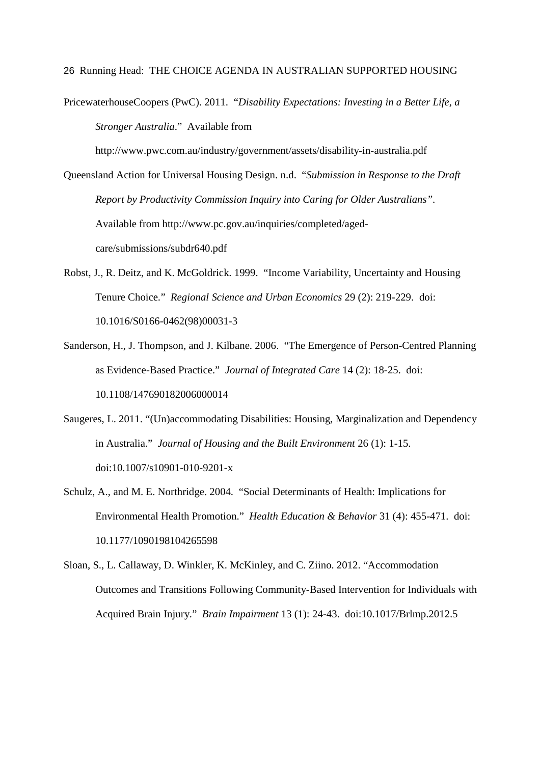PricewaterhouseCoopers (PwC). 2011. "*Disability Expectations: Investing in a Better Life, a Stronger Australia*." Available from

http://www.pwc.com.au/industry/government/assets/disability-in-australia.pdf

- Queensland Action for Universal Housing Design. n.d. "*Submission in Response to the Draft Report by Productivity Commission Inquiry into Caring for Older Australians"*. Available from http://www.pc.gov.au/inquiries/completed/agedcare/submissions/subdr640.pdf
- Robst, J., R. Deitz, and K. McGoldrick. 1999. "Income Variability, Uncertainty and Housing Tenure Choice." *Regional Science and Urban Economics* 29 (2): 219-229. doi: 10.1016/S0166-0462(98)00031-3
- Sanderson, H., J. Thompson, and J. Kilbane. 2006. "The Emergence of Person-Centred Planning as Evidence-Based Practice." *Journal of Integrated Care* 14 (2): 18-25. doi: 10.1108/147690182006000014
- Saugeres, L. 2011. "(Un)accommodating Disabilities: Housing, Marginalization and Dependency in Australia." *Journal of Housing and the Built Environment* 26 (1): 1-15. doi:10.1007/s10901-010-9201-x
- Schulz, A., and M. E. Northridge. 2004. "Social Determinants of Health: Implications for Environmental Health Promotion." *Health Education & Behavior* 31 (4): 455-471. doi: 10.1177/1090198104265598
- Sloan, S., L. Callaway, D. Winkler, K. McKinley, and C. Ziino. 2012. "Accommodation Outcomes and Transitions Following Community-Based Intervention for Individuals with Acquired Brain Injury." *Brain Impairment* 13 (1): 24-43. doi:10.1017/Brlmp.2012.5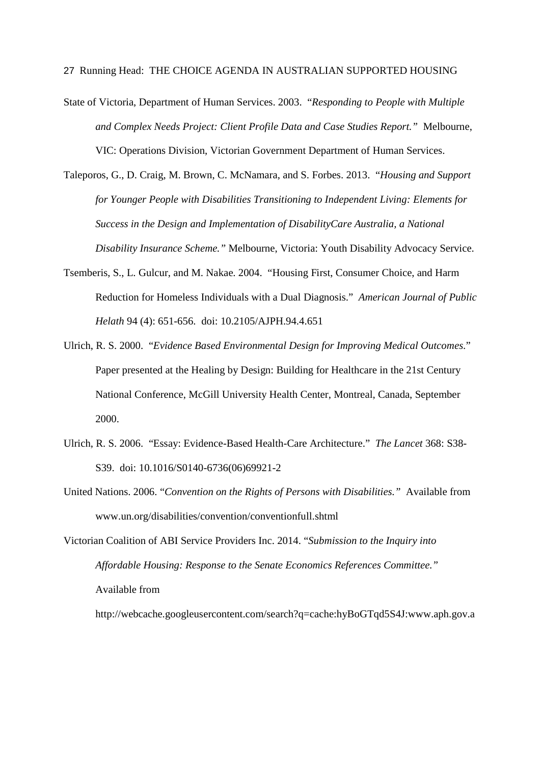- State of Victoria, Department of Human Services. 2003. "*Responding to People with Multiple and Complex Needs Project: Client Profile Data and Case Studies Report."* Melbourne, VIC: Operations Division, Victorian Government Department of Human Services.
- Taleporos, G., D. Craig, M. Brown, C. McNamara, and S. Forbes. 2013. "*Housing and Support for Younger People with Disabilities Transitioning to Independent Living: Elements for Success in the Design and Implementation of DisabilityCare Australia, a National Disability Insurance Scheme."* Melbourne, Victoria: Youth Disability Advocacy Service.
- Tsemberis, S., L. Gulcur, and M. Nakae. 2004. "Housing First, Consumer Choice, and Harm Reduction for Homeless Individuals with a Dual Diagnosis." *American Journal of Public Helath* 94 (4): 651-656. doi: 10.2105/AJPH.94.4.651
- Ulrich, R. S. 2000. "*Evidence Based Environmental Design for Improving Medical Outcomes*." Paper presented at the Healing by Design: Building for Healthcare in the 21st Century National Conference, McGill University Health Center, Montreal, Canada, September 2000.
- Ulrich, R. S. 2006. "Essay: Evidence-Based Health-Care Architecture." *The Lancet* 368: S38- S39. doi: 10.1016/S0140-6736(06)69921-2
- United Nations. 2006. "*Convention on the Rights of Persons with Disabilities."* Available from www.un.org/disabilities/convention/conventionfull.shtml
- Victorian Coalition of ABI Service Providers Inc. 2014. "*Submission to the Inquiry into Affordable Housing: Response to the Senate Economics References Committee."*  Available from

http://webcache.googleusercontent.com/search?q=cache:hyBoGTqd5S4J:www.aph.gov.a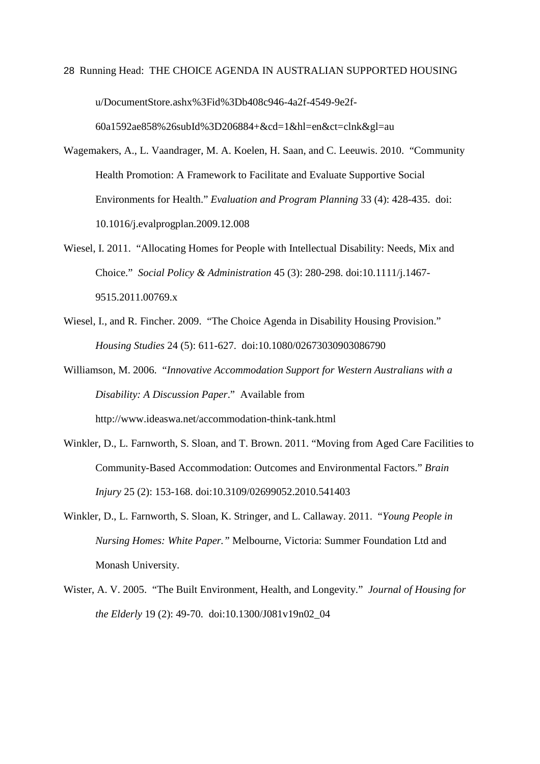- 28 Running Head: THE CHOICE AGENDA IN AUSTRALIAN SUPPORTED HOUSING u/DocumentStore.ashx%3Fid%3Db408c946-4a2f-4549-9e2f-60a1592ae858%26subId%3D206884+&cd=1&hl=en&ct=clnk&gl=au
- Wagemakers, A., L. Vaandrager, M. A. Koelen, H. Saan, and C. Leeuwis. 2010. "Community Health Promotion: A Framework to Facilitate and Evaluate Supportive Social Environments for Health." *Evaluation and Program Planning* 33 (4): 428-435. doi: 10.1016/j.evalprogplan.2009.12.008
- Wiesel, I. 2011. "Allocating Homes for People with Intellectual Disability: Needs, Mix and Choice." *Social Policy & Administration* 45 (3): 280-298. doi:10.1111/j.1467- 9515.2011.00769.x
- Wiesel, I., and R. Fincher. 2009. "The Choice Agenda in Disability Housing Provision." *Housing Studies* 24 (5): 611-627. doi:10.1080/02673030903086790
- Williamson, M. 2006. "*Innovative Accommodation Support for Western Australians with a Disability: A Discussion Paper*." Available from http://www.ideaswa.net/accommodation-think-tank.html
- Winkler, D., L. Farnworth, S. Sloan, and T. Brown. 2011. "Moving from Aged Care Facilities to Community-Based Accommodation: Outcomes and Environmental Factors." *Brain Injury* 25 (2): 153-168. doi:10.3109/02699052.2010.541403
- Winkler, D., L. Farnworth, S. Sloan, K. Stringer, and L. Callaway. 2011. "*Young People in Nursing Homes: White Paper."* Melbourne, Victoria: Summer Foundation Ltd and Monash University.
- Wister, A. V. 2005. "The Built Environment, Health, and Longevity." *Journal of Housing for the Elderly* 19 (2): 49-70. doi:10.1300/J081v19n02\_04